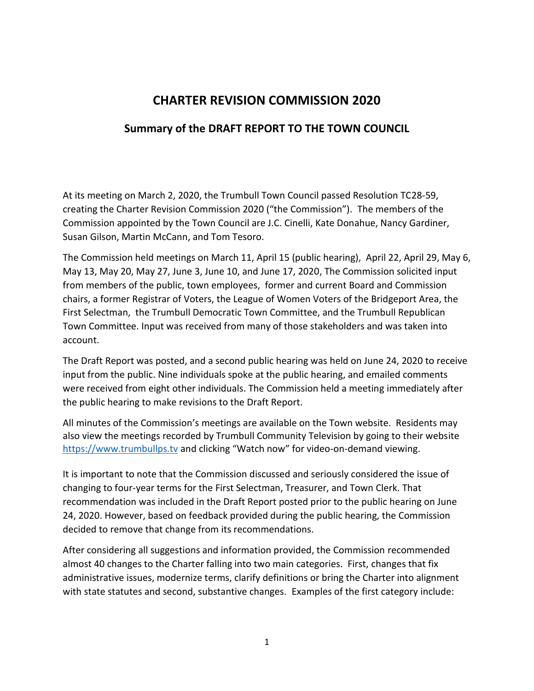## **CHARTER REVISION COMMISSION 2020**

## **Summary of the DRAFT REPORT TO THE TOWN COUNCIL**

At its meeting on March 2, 2020, the Trumbull Town Council passed Resolution TC28-59, creating the Charter Revision Commission 2020 ("the Commission"). The members of the Commission appointed by the Town Council are J.C. Cinelli, Kate Donahue, Nancy Gardiner, Susan Gilson, Martin McCann, and Tom Tesoro.

The Commission held meetings on March 11, April 15 (public hearing), April 22, April 29, May 6, May 13, May 20, May 27, June 3, June 10, and June 17, 2020, The Commission solicited input from members of the public, town employees, former and current Board and Commission chairs, a former Registrar of Voters, the League of Women Voters of the Bridgeport Area, the First Selectman, the Trumbull Democratic Town Committee, and the Trumbull Republican Town Committee. Input was received from many of those stakeholders and was taken into account.

The Draft Report was posted, and a second public hearing was held on June 24, 2020 to receive input from the public. Nine individuals spoke at the public hearing, and emailed comments were received from eight other individuals. The Commission held a meeting immediately after the public hearing to make revisions to the Draft Report.

All minutes of the Commission's meetings are available on the Town website. Residents may also view the meetings recorded by Trumbull Community Television by going to their website [https://www.trumbullps.tv](https://www.trumbullps.tv/) and clicking "Watch now" for video-on-demand viewing.

It is important to note that the Commission discussed and seriously considered the issue of changing to four-year terms for the First Selectman, Treasurer, and Town Clerk. That recommendation was included in the Draft Report posted prior to the public hearing on June 24, 2020. However, based on feedback provided during the public hearing, the Commission decided to remove that change from its recommendations.

After considering all suggestions and information provided, the Commission recommended almost 40 changes to the Charter falling into two main categories. First, changes that fix administrative issues, modernize terms, clarify definitions or bring the Charter into alignment with state statutes and second, substantive changes. Examples of the first category include: